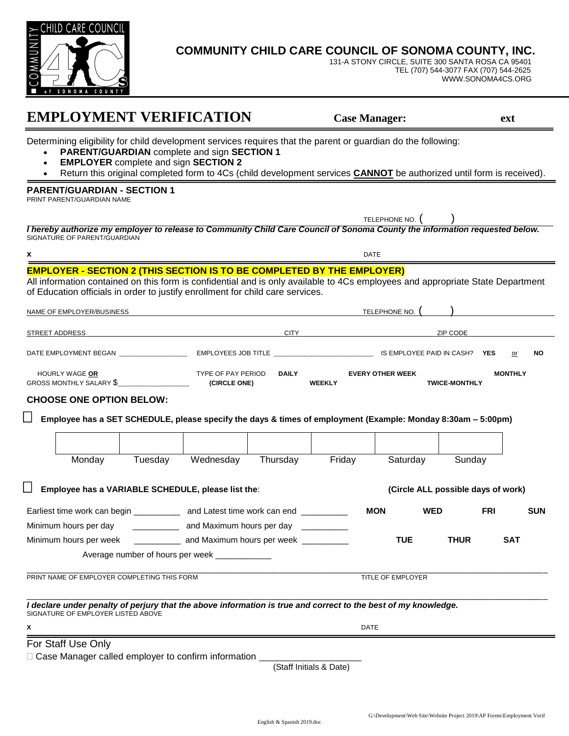